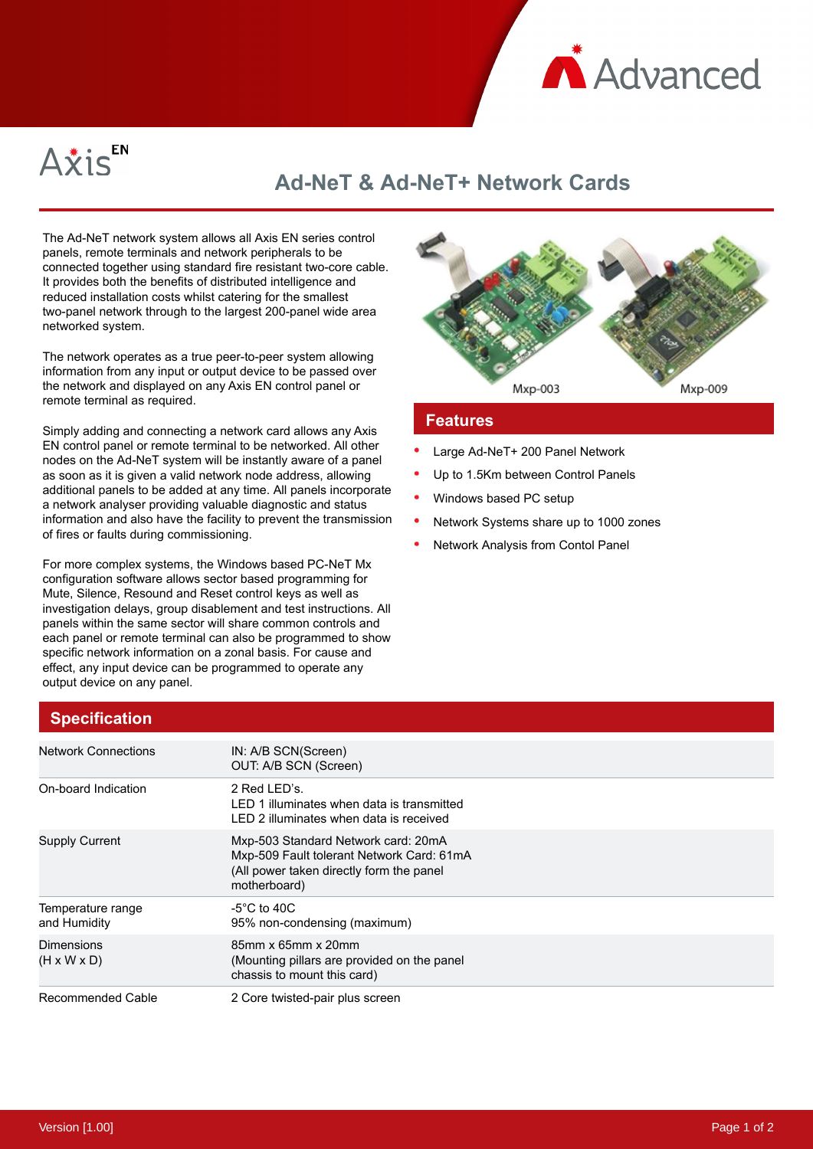



## **Ad-NeT & Ad-NeT+ Network Cards**

The Ad-NeT network system allows all Axis EN series control panels, remote terminals and network peripherals to be connected together using standard fire resistant two-core cable. It provides both the benefits of distributed intelligence and reduced installation costs whilst catering for the smallest two-panel network through to the largest 200-panel wide area networked system.

The network operates as a true peer-to-peer system allowing information from any input or output device to be passed over the network and displayed on any Axis EN control panel or remote terminal as required.

Simply adding and connecting a network card allows any Axis EN control panel or remote terminal to be networked. All other nodes on the Ad-NeT system will be instantly aware of a panel as soon as it is given a valid network node address, allowing additional panels to be added at any time. All panels incorporate a network analyser providing valuable diagnostic and status information and also have the facility to prevent the transmission of fires or faults during commissioning.

For more complex systems, the Windows based PC-NeT Mx configuration software allows sector based programming for Mute, Silence, Resound and Reset control keys as well as investigation delays, group disablement and test instructions. All panels within the same sector will share common controls and each panel or remote terminal can also be programmed to show specific network information on a zonal basis. For cause and effect, any input device can be programmed to operate any output device on any panel.



### **Features**

- Large Ad-NeT+ 200 Panel Network
- Up to 1.5Km between Control Panels
- Windows based PC setup
- Network Systems share up to 1000 zones
- Network Analysis from Contol Panel

| <b>Specification</b>                         |                                                                                                                                              |
|----------------------------------------------|----------------------------------------------------------------------------------------------------------------------------------------------|
| <b>Network Connections</b>                   | IN: A/B SCN(Screen)<br>OUT: A/B SCN (Screen)                                                                                                 |
| On-board Indication                          | 2 Red LED's.<br>LED 1 illuminates when data is transmitted<br>LED 2 illuminates when data is received                                        |
| <b>Supply Current</b>                        | Mxp-503 Standard Network card: 20mA<br>Mxp-509 Fault tolerant Network Card: 61mA<br>(All power taken directly form the panel<br>motherboard) |
| Temperature range<br>and Humidity            | $-5^{\circ}$ C to 40C<br>95% non-condensing (maximum)                                                                                        |
| <b>Dimensions</b><br>$(H \times W \times D)$ | 85mm x 65mm x 20mm<br>(Mounting pillars are provided on the panel)<br>chassis to mount this card)                                            |
| Recommended Cable                            | 2 Core twisted-pair plus screen                                                                                                              |